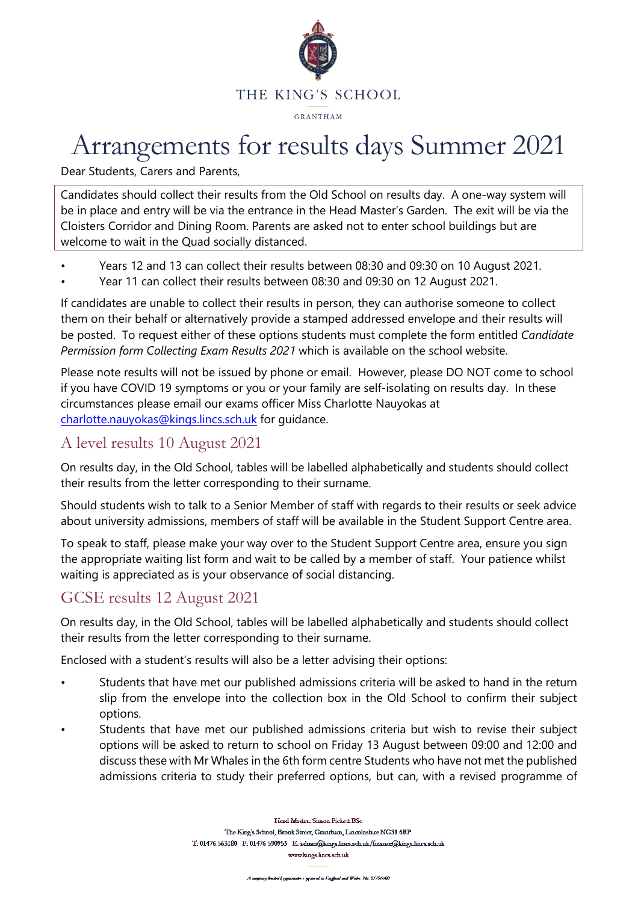

# Arrangements for results days Summer 2021

Dear Students, Carers and Parents,

Candidates should collect their results from the Old School on results day. A one-way system will be in place and entry will be via the entrance in the Head Master's Garden. The exit will be via the Cloisters Corridor and Dining Room. Parents are asked not to enter school buildings but are welcome to wait in the Quad socially distanced.

- Years 12 and 13 can collect their results between 08:30 and 09:30 on 10 August 2021.
- Year 11 can collect their results between 08:30 and 09:30 on 12 August 2021.

If candidates are unable to collect their results in person, they can authorise someone to collect them on their behalf or alternatively provide a stamped addressed envelope and their results will be posted. To request either of these options students must complete the form entitled *Candidate Permission form Collecting Exam Results 2021* which is available on the school website.

Please note results will not be issued by phone or email. However, please DO NOT come to school if you have COVID 19 symptoms or you or your family are self-isolating on results day. In these circumstances please email our exams officer Miss Charlotte Nauyokas at [charlotte.nauyokas@kings.lincs.sch.uk](mailto:charlotte.nauyokas@kings.lincs.sch.uk) for guidance.

### A level results 10 August 2021

On results day, in the Old School, tables will be labelled alphabetically and students should collect their results from the letter corresponding to their surname.

Should students wish to talk to a Senior Member of staff with regards to their results or seek advice about university admissions, members of staff will be available in the Student Support Centre area.

To speak to staff, please make your way over to the Student Support Centre area, ensure you sign the appropriate waiting list form and wait to be called by a member of staff. Your patience whilst waiting is appreciated as is your observance of social distancing.

# GCSE results 12 August 2021

On results day, in the Old School, tables will be labelled alphabetically and students should collect their results from the letter corresponding to their surname.

Enclosed with a student's results will also be a letter advising their options:

- Students that have met our published admissions criteria will be asked to hand in the return slip from the envelope into the collection box in the Old School to confirm their subject options.
- Students that have met our published admissions criteria but wish to revise their subject options will be asked to return to school on Friday 13 August between 09:00 and 12:00 and discuss these with Mr Whales in the 6th form centre Students who have not met the published admissions criteria to study their preferred options, but can, with a revised programme of